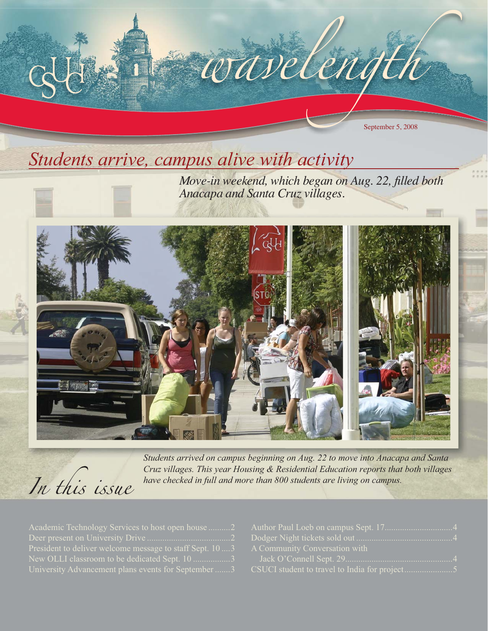

# *Students arrive, campus alive with activity*



*Move-in weekend, which began on Aug. 22, filled both Anacapa and Santa Cruz villages.*





*Students arrived on campus beginning on Aug. 22 to move into Anacapa and Santa Cruz villages. This year Housing & Residential Education reports that both villages have checked in full and more than 800 students are living on campus.*

| Academic Technology Services to host open house 2         |  |
|-----------------------------------------------------------|--|
|                                                           |  |
| President to deliver welcome message to staff Sept. 10  3 |  |
| New OLLI classroom to be dedicated Sept. 10 3             |  |
| University Advancement plans events for September 3       |  |

| A Community Conversation with |
|-------------------------------|
|                               |
|                               |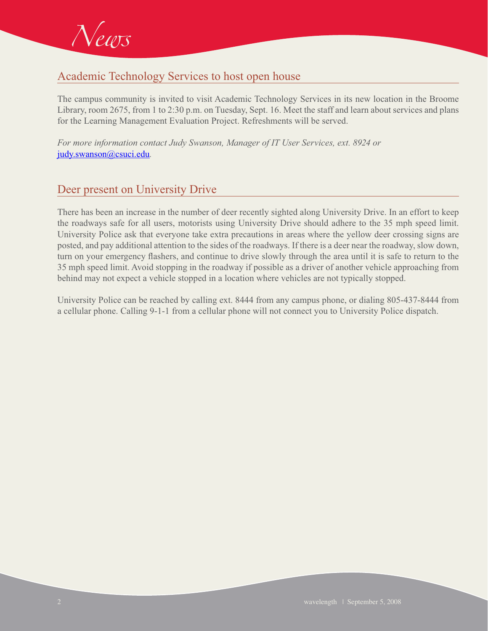

# Academic Technology Services to host open house

The campus community is invited to visit Academic Technology Services in its new location in the Broome Library, room 2675, from 1 to 2:30 p.m. on Tuesday, Sept. 16. Meet the staff and learn about services and plans for the Learning Management Evaluation Project. Refreshments will be served.

*For more information contact Judy Swanson, Manager of IT User Services, ext. 8924 or*  judy.swanson@csuci.edu*.*

#### Deer present on University Drive

There has been an increase in the number of deer recently sighted along University Drive. In an effort to keep the roadways safe for all users, motorists using University Drive should adhere to the 35 mph speed limit. University Police ask that everyone take extra precautions in areas where the yellow deer crossing signs are posted, and pay additional attention to the sides of the roadways. If there is a deer near the roadway, slow down, turn on your emergency flashers, and continue to drive slowly through the area until it is safe to return to the 35 mph speed limit. Avoid stopping in the roadway if possible as a driver of another vehicle approaching from behind may not expect a vehicle stopped in a location where vehicles are not typically stopped.

University Police can be reached by calling ext. 8444 from any campus phone, or dialing 805-437-8444 from a cellular phone. Calling 9-1-1 from a cellular phone will not connect you to University Police dispatch.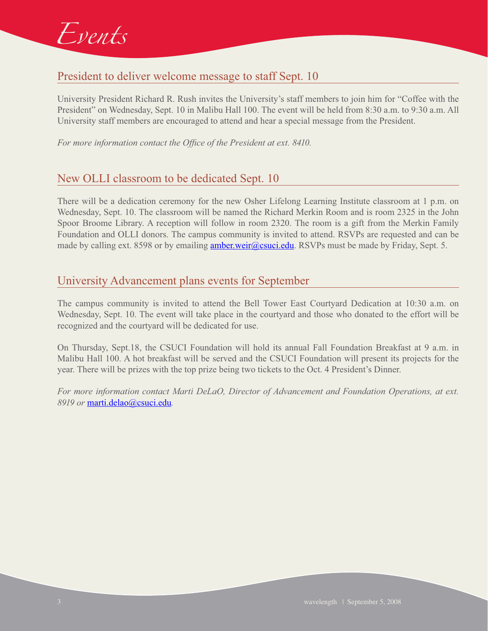

## President to deliver welcome message to staff Sept. 10

University President Richard R. Rush invites the University's staff members to join him for "Coffee with the President" on Wednesday, Sept. 10 in Malibu Hall 100. The event will be held from 8:30 a.m. to 9:30 a.m. All University staff members are encouraged to attend and hear a special message from the President.

*For more information contact the Office of the President at ext. 8410.*

#### New OLLI classroom to be dedicated Sept. 10

There will be a dedication ceremony for the new Osher Lifelong Learning Institute classroom at 1 p.m. on Wednesday, Sept. 10. The classroom will be named the Richard Merkin Room and is room 2325 in the John Spoor Broome Library. A reception will follow in room 2320. The room is a gift from the Merkin Family Foundation and OLLI donors. The campus community is invited to attend. RSVPs are requested and can be made by calling ext. 8598 or by emailing **amber.weir@csuci.edu**. RSVPs must be made by Friday, Sept. 5.

#### University Advancement plans events for September

The campus community is invited to attend the Bell Tower East Courtyard Dedication at 10:30 a.m. on Wednesday, Sept. 10. The event will take place in the courtyard and those who donated to the effort will be recognized and the courtyard will be dedicated for use.

On Thursday, Sept.18, the CSUCI Foundation will hold its annual Fall Foundation Breakfast at 9 a.m. in Malibu Hall 100. A hot breakfast will be served and the CSUCI Foundation will present its projects for the year. There will be prizes with the top prize being two tickets to the Oct. 4 President's Dinner.

*For more information contact Marti DeLaO, Director of Advancement and Foundation Operations, at ext. 8919 or* marti.delao@csuci.edu*.*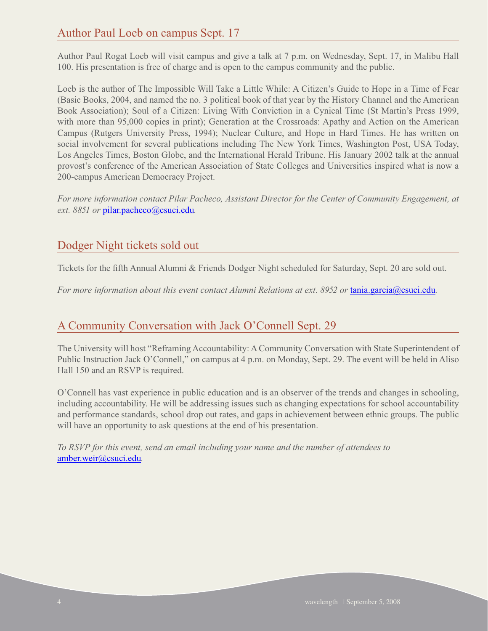## Author Paul Loeb on campus Sept. 17

Author Paul Rogat Loeb will visit campus and give a talk at 7 p.m. on Wednesday, Sept. 17, in Malibu Hall 100. His presentation is free of charge and is open to the campus community and the public.

Loeb is the author of The Impossible Will Take a Little While: A Citizen's Guide to Hope in a Time of Fear (Basic Books, 2004, and named the no. 3 political book of that year by the History Channel and the American Book Association); Soul of a Citizen: Living With Conviction in a Cynical Time (St Martin's Press 1999, with more than 95,000 copies in print); Generation at the Crossroads: Apathy and Action on the American Campus (Rutgers University Press, 1994); Nuclear Culture, and Hope in Hard Times. He has written on social involvement for several publications including The New York Times, Washington Post, USA Today, Los Angeles Times, Boston Globe, and the International Herald Tribune. His January 2002 talk at the annual provost's conference of the American Association of State Colleges and Universities inspired what is now a 200-campus American Democracy Project.

*For more information contact Pilar Pacheco, Assistant Director for the Center of Community Engagement, at ext. 8851 or* pilar.pacheco@csuci.edu*.* 

#### Dodger Night tickets sold out

Tickets for the fifth Annual Alumni & Friends Dodger Night scheduled for Saturday, Sept. 20 are sold out.

*For more information about this event contact Alumni Relations at ext. 8952 or tania.garcia@csuci.edu.* 

#### A Community Conversation with Jack O'Connell Sept. 29

The University will host "Reframing Accountability: A Community Conversation with State Superintendent of Public Instruction Jack O'Connell," on campus at 4 p.m. on Monday, Sept. 29. The event will be held in Aliso Hall 150 and an RSVP is required.

O'Connell has vast experience in public education and is an observer of the trends and changes in schooling, including accountability. He will be addressing issues such as changing expectations for school accountability and performance standards, school drop out rates, and gaps in achievement between ethnic groups. The public will have an opportunity to ask questions at the end of his presentation.

*To RSVP for this event, send an email including your name and the number of attendees to*  amber.weir@csuci.edu*.*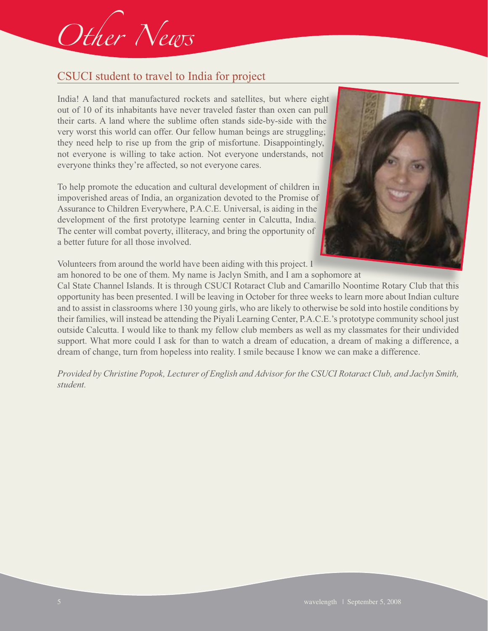# Other News

# CSUCI student to travel to India for project

India! A land that manufactured rockets and satellites, but where eight India! A land that manufactured rockets and satellites, but where eight out of 10 of its inhabitants have never traveled faster than oxen can pull their carts. A land where the sublime often stands side-by-side with the very worst this world can offer. Our fellow human beings are struggling; they need help to rise up from the grip of misfortune. Disappointingly, not everyone is willing to take action. Not everyone understands, not everyone thinks they're affected, so not everyone cares. ingly,<br>s, not<br>en in

To help promote the education and cultural development of children in impoverished areas of India, an organization devoted to the Promise of Assurance to Children Everywhere, P.A.C.E. Universal, is aiding in the development of the first prototype learning center in Calcutta, India. The center will combat poverty, illiteracy, and bring the opportunity of a better future for all those involved.



Volunteers from around the world have been aiding with this project. I

am honored to be one of them. My name is Jaclyn Smith, and I am a sophomore at Cal State Channel Islands. It is through CSUCI Rotaract Club and Camarillo Noontime Rotary Club that this opportunity has been presented. I will be leaving in October for three weeks to learn more about Indian culture and to assist in classrooms where 130 young girls, who are likely to otherwise be sold into hostile conditions by their families, will instead be attending the Piyali Learning Center, P.A.C.E.'s prototype community school just outside Calcutta. I would like to thank my fellow club members as well as my classmates for their undivided support. What more could I ask for than to watch a dream of education, a dream of making a difference, a dream of change, turn from hopeless into reality. I smile because I know we can make a difference.

*Provided by Christine Popok, Lecturer of English and Advisor for the CSUCI Rotaract Club, and Jaclyn Smith, student.*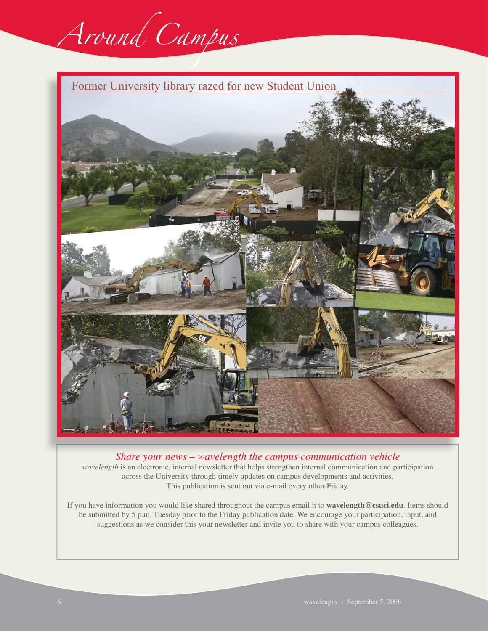

Former University library razed for new Student Union



*Share your news – wavelength the campus communication vehicle wavelength* is an electronic, internal newsletter that helps strengthen internal communication and participation across the University through timely updates on campus developments and activities. This publication is sent out via e-mail every other Friday.

If you have information you would like shared throughout the campus email it to **wavelength@csuci.edu**. Items should be submitted by 5 p.m. Tuesday prior to the Friday publication date. We encourage your participation, input, and suggestions as we consider this your newsletter and invite you to share with your campus colleagues.